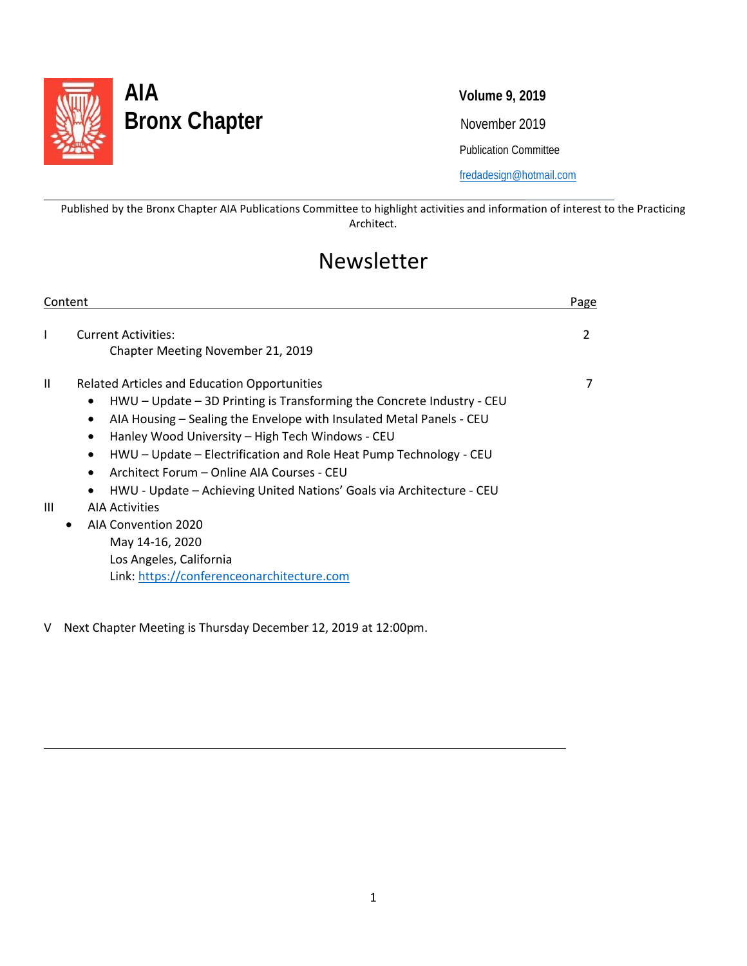

l

 $\overline{\phantom{0}}$ 

# **AIA Volume 9, 2019** Bronx Chapter<br>
November 2019

Publication Committee

[fredadesign@hotmail.com](mailto:fredadesign@hotmail.com)

Published by the Bronx Chapter AIA Publications Committee to highlight activities and information of interest to the Practicing Architect.

# Newsletter

| <b>Current Activities:</b><br>T<br>Chapter Meeting November 21, 2019<br>Ш<br>Related Articles and Education Opportunities<br>$H WU - Update - 3D Printing is Transforming the Concrete Industry - CEU$<br>$\bullet$<br>AIA Housing – Sealing the Envelope with Insulated Metal Panels - CEU<br>$\bullet$ | Page           |
|----------------------------------------------------------------------------------------------------------------------------------------------------------------------------------------------------------------------------------------------------------------------------------------------------------|----------------|
|                                                                                                                                                                                                                                                                                                          | $\overline{2}$ |
| Hanley Wood University - High Tech Windows - CEU<br>$\bullet$<br>HWU - Update - Electrification and Role Heat Pump Technology - CEU<br>$\bullet$<br>Architect Forum – Online AIA Courses - CEU<br>$\bullet$<br>HWU - Update - Achieving United Nations' Goals via Architecture - CEU<br>٠                | 7              |
| Ш<br><b>AIA Activities</b><br>AIA Convention 2020<br>$\bullet$<br>May 14-16, 2020<br>Los Angeles, California<br>Link: https://conferenceonarchitecture.com                                                                                                                                               |                |

V Next Chapter Meeting is Thursday December 12, 2019 at 12:00pm.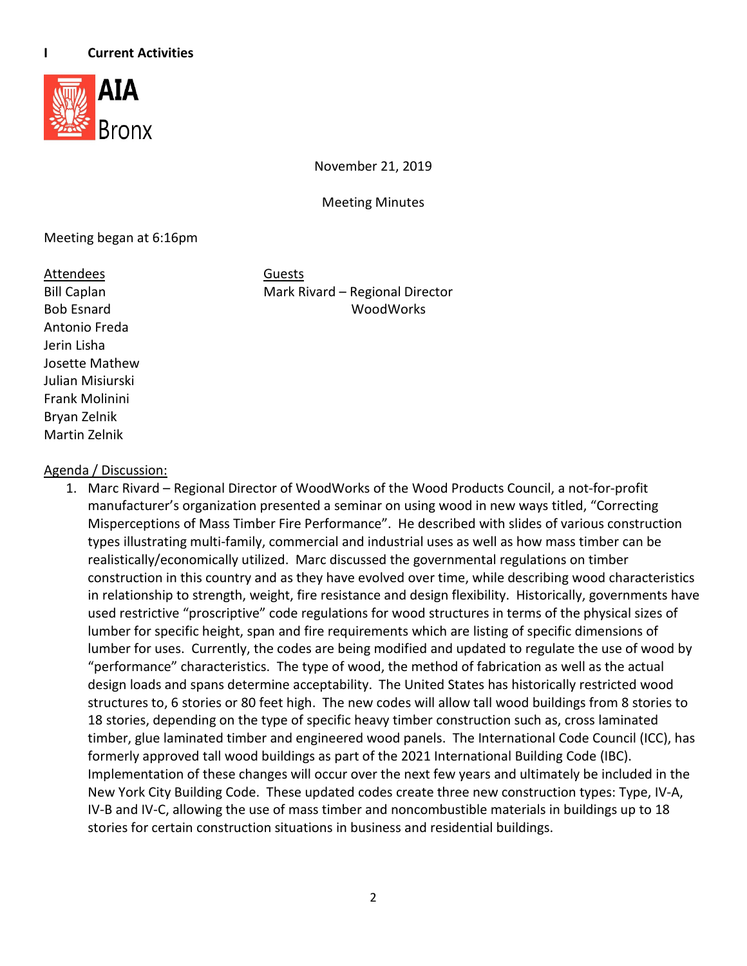

November 21, 2019

Meeting Minutes

### Meeting began at 6:16pm

Attendees Guests

Antonio Freda Jerin Lisha Josette Mathew Julian Misiurski Frank Molinini Bryan Zelnik Martin Zelnik

Bill Caplan Mark Rivard – Regional Director Bob Esnard WoodWorks

### Agenda / Discussion:

1. Marc Rivard – Regional Director of WoodWorks of the Wood Products Council, a not-for-profit manufacturer's organization presented a seminar on using wood in new ways titled, "Correcting Misperceptions of Mass Timber Fire Performance". He described with slides of various construction types illustrating multi-family, commercial and industrial uses as well as how mass timber can be realistically/economically utilized. Marc discussed the governmental regulations on timber construction in this country and as they have evolved over time, while describing wood characteristics in relationship to strength, weight, fire resistance and design flexibility. Historically, governments have used restrictive "proscriptive" code regulations for wood structures in terms of the physical sizes of lumber for specific height, span and fire requirements which are listing of specific dimensions of lumber for uses. Currently, the codes are being modified and updated to regulate the use of wood by "performance" characteristics. The type of wood, the method of fabrication as well as the actual design loads and spans determine acceptability. The United States has historically restricted wood structures to, 6 stories or 80 feet high. The new codes will allow tall wood buildings from 8 stories to 18 stories, depending on the type of specific heavy timber construction such as, cross laminated timber, glue laminated timber and engineered wood panels. The International Code Council (ICC), has formerly approved tall wood buildings as part of the 2021 International Building Code (IBC). Implementation of these changes will occur over the next few years and ultimately be included in the New York City Building Code. These updated codes create three new construction types: Type, IV-A, IV-B and IV-C, allowing the use of mass timber and noncombustible materials in buildings up to 18 stories for certain construction situations in business and residential buildings.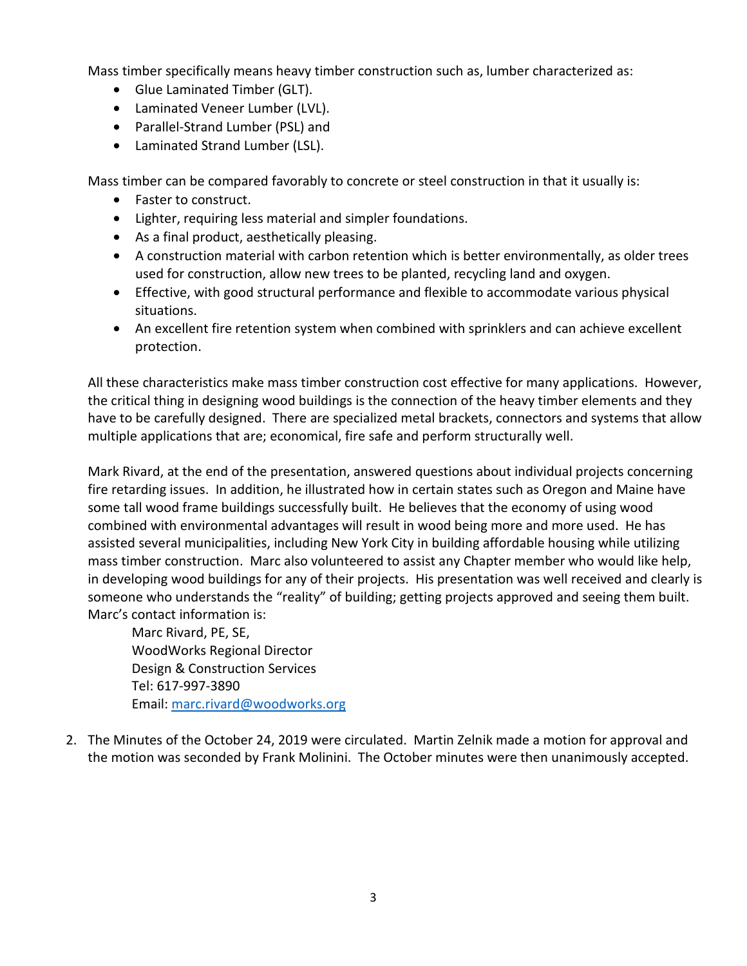Mass timber specifically means heavy timber construction such as, lumber characterized as:

- Glue Laminated Timber (GLT).
- Laminated Veneer Lumber (LVL).
- Parallel-Strand Lumber (PSL) and
- Laminated Strand Lumber (LSL).

Mass timber can be compared favorably to concrete or steel construction in that it usually is:

- Faster to construct.
- Lighter, requiring less material and simpler foundations.
- As a final product, aesthetically pleasing.
- A construction material with carbon retention which is better environmentally, as older trees used for construction, allow new trees to be planted, recycling land and oxygen.
- Effective, with good structural performance and flexible to accommodate various physical situations.
- An excellent fire retention system when combined with sprinklers and can achieve excellent protection.

All these characteristics make mass timber construction cost effective for many applications. However, the critical thing in designing wood buildings is the connection of the heavy timber elements and they have to be carefully designed. There are specialized metal brackets, connectors and systems that allow multiple applications that are; economical, fire safe and perform structurally well.

Mark Rivard, at the end of the presentation, answered questions about individual projects concerning fire retarding issues. In addition, he illustrated how in certain states such as Oregon and Maine have some tall wood frame buildings successfully built. He believes that the economy of using wood combined with environmental advantages will result in wood being more and more used. He has assisted several municipalities, including New York City in building affordable housing while utilizing mass timber construction. Marc also volunteered to assist any Chapter member who would like help, in developing wood buildings for any of their projects. His presentation was well received and clearly is someone who understands the "reality" of building; getting projects approved and seeing them built. Marc's contact information is:

Marc Rivard, PE, SE, WoodWorks Regional Director Design & Construction Services Tel: 617-997-3890 Email: [marc.rivard@woodworks.org](mailto:marc.rivard@woodworks.org)

2. The Minutes of the October 24, 2019 were circulated. Martin Zelnik made a motion for approval and the motion was seconded by Frank Molinini. The October minutes were then unanimously accepted.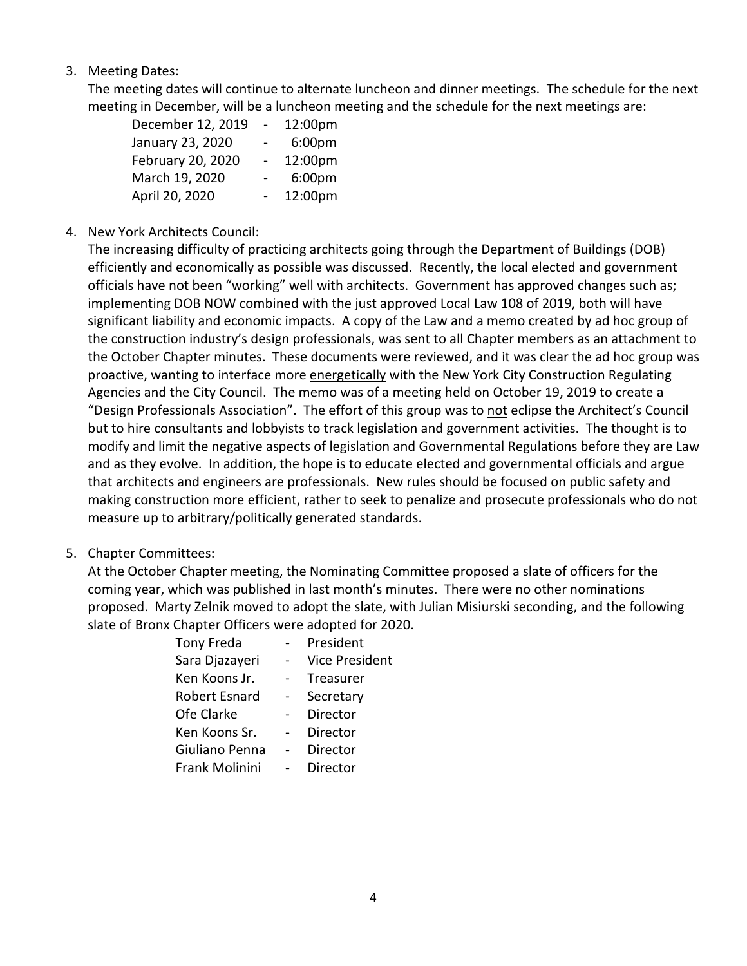### 3. Meeting Dates:

The meeting dates will continue to alternate luncheon and dinner meetings. The schedule for the next meeting in December, will be a luncheon meeting and the schedule for the next meetings are:

| December 12, 2019 | $\overline{a}$           | 12:00pm |
|-------------------|--------------------------|---------|
| January 23, 2020  |                          | 6:00pm  |
| February 20, 2020 | $\overline{\phantom{0}}$ | 12:00pm |
| March 19, 2020    |                          | 6:00pm  |
| April 20, 2020    |                          | 12:00pm |

### 4. New York Architects Council:

The increasing difficulty of practicing architects going through the Department of Buildings (DOB) efficiently and economically as possible was discussed. Recently, the local elected and government officials have not been "working" well with architects. Government has approved changes such as; implementing DOB NOW combined with the just approved Local Law 108 of 2019, both will have significant liability and economic impacts. A copy of the Law and a memo created by ad hoc group of the construction industry's design professionals, was sent to all Chapter members as an attachment to the October Chapter minutes. These documents were reviewed, and it was clear the ad hoc group was proactive, wanting to interface more energetically with the New York City Construction Regulating Agencies and the City Council. The memo was of a meeting held on October 19, 2019 to create a "Design Professionals Association". The effort of this group was to not eclipse the Architect's Council but to hire consultants and lobbyists to track legislation and government activities. The thought is to modify and limit the negative aspects of legislation and Governmental Regulations before they are Law and as they evolve. In addition, the hope is to educate elected and governmental officials and argue that architects and engineers are professionals. New rules should be focused on public safety and making construction more efficient, rather to seek to penalize and prosecute professionals who do not measure up to arbitrary/politically generated standards.

5. Chapter Committees:

At the October Chapter meeting, the Nominating Committee proposed a slate of officers for the coming year, which was published in last month's minutes. There were no other nominations proposed. Marty Zelnik moved to adopt the slate, with Julian Misiurski seconding, and the following slate of Bronx Chapter Officers were adopted for 2020.

| Tony Freda           | President             |
|----------------------|-----------------------|
| Sara Djazayeri       | <b>Vice President</b> |
| Ken Koons Jr.        | Treasurer             |
| <b>Robert Esnard</b> | Secretary             |
| Ofe Clarke           | Director              |
| Ken Koons Sr.        | Director              |
| Giuliano Penna       | Director              |
| Frank Molinini       | Director              |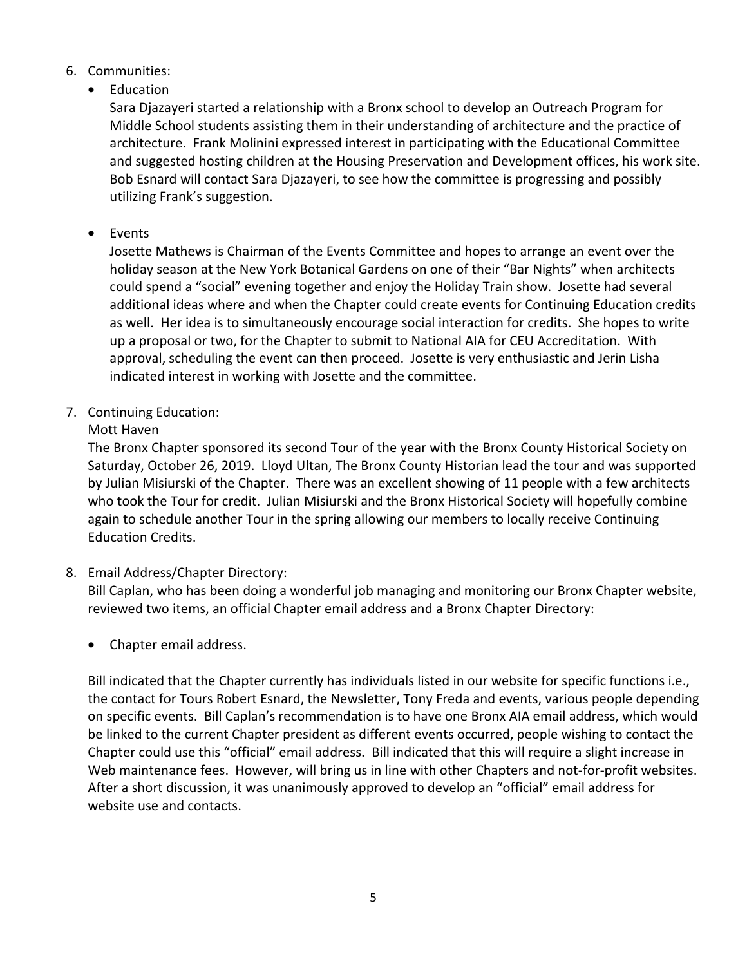- 6. Communities:
	- Education

Sara Djazayeri started a relationship with a Bronx school to develop an Outreach Program for Middle School students assisting them in their understanding of architecture and the practice of architecture. Frank Molinini expressed interest in participating with the Educational Committee and suggested hosting children at the Housing Preservation and Development offices, his work site. Bob Esnard will contact Sara Djazayeri, to see how the committee is progressing and possibly utilizing Frank's suggestion.

• Events

Josette Mathews is Chairman of the Events Committee and hopes to arrange an event over the holiday season at the New York Botanical Gardens on one of their "Bar Nights" when architects could spend a "social" evening together and enjoy the Holiday Train show. Josette had several additional ideas where and when the Chapter could create events for Continuing Education credits as well. Her idea is to simultaneously encourage social interaction for credits. She hopes to write up a proposal or two, for the Chapter to submit to National AIA for CEU Accreditation. With approval, scheduling the event can then proceed. Josette is very enthusiastic and Jerin Lisha indicated interest in working with Josette and the committee.

7. Continuing Education:

### Mott Haven

The Bronx Chapter sponsored its second Tour of the year with the Bronx County Historical Society on Saturday, October 26, 2019. Lloyd Ultan, The Bronx County Historian lead the tour and was supported by Julian Misiurski of the Chapter. There was an excellent showing of 11 people with a few architects who took the Tour for credit. Julian Misiurski and the Bronx Historical Society will hopefully combine again to schedule another Tour in the spring allowing our members to locally receive Continuing Education Credits.

8. Email Address/Chapter Directory:

Bill Caplan, who has been doing a wonderful job managing and monitoring our Bronx Chapter website, reviewed two items, an official Chapter email address and a Bronx Chapter Directory:

• Chapter email address.

Bill indicated that the Chapter currently has individuals listed in our website for specific functions i.e., the contact for Tours Robert Esnard, the Newsletter, Tony Freda and events, various people depending on specific events. Bill Caplan's recommendation is to have one Bronx AIA email address, which would be linked to the current Chapter president as different events occurred, people wishing to contact the Chapter could use this "official" email address. Bill indicated that this will require a slight increase in Web maintenance fees. However, will bring us in line with other Chapters and not-for-profit websites. After a short discussion, it was unanimously approved to develop an "official" email address for website use and contacts.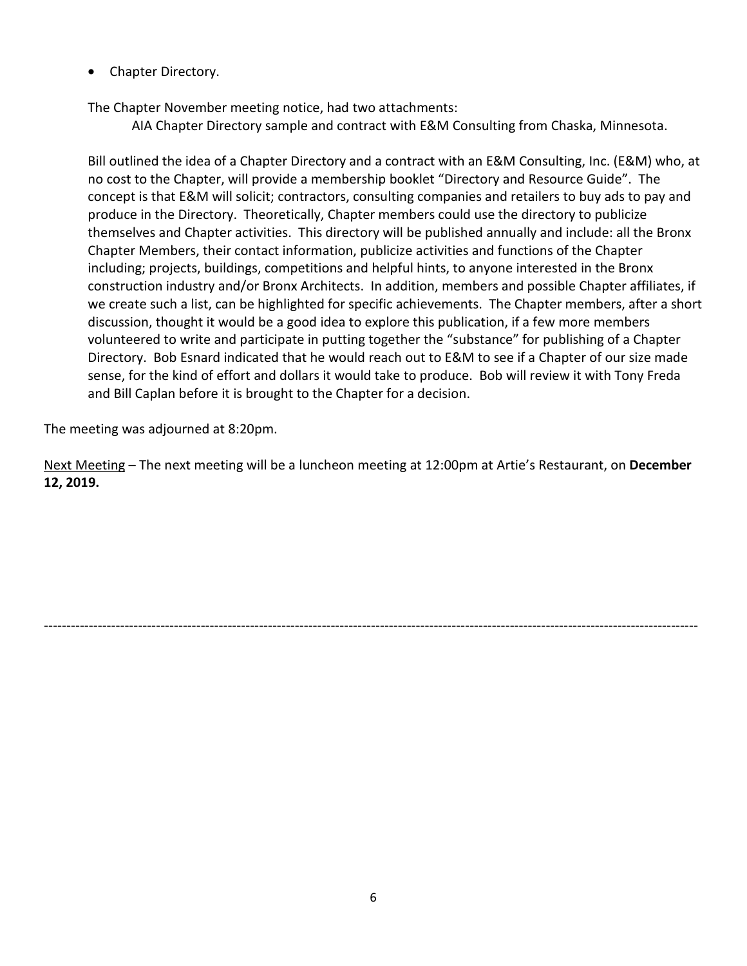• Chapter Directory.

The Chapter November meeting notice, had two attachments:

AIA Chapter Directory sample and contract with E&M Consulting from Chaska, Minnesota.

Bill outlined the idea of a Chapter Directory and a contract with an E&M Consulting, Inc. (E&M) who, at no cost to the Chapter, will provide a membership booklet "Directory and Resource Guide". The concept is that E&M will solicit; contractors, consulting companies and retailers to buy ads to pay and produce in the Directory. Theoretically, Chapter members could use the directory to publicize themselves and Chapter activities. This directory will be published annually and include: all the Bronx Chapter Members, their contact information, publicize activities and functions of the Chapter including; projects, buildings, competitions and helpful hints, to anyone interested in the Bronx construction industry and/or Bronx Architects. In addition, members and possible Chapter affiliates, if we create such a list, can be highlighted for specific achievements. The Chapter members, after a short discussion, thought it would be a good idea to explore this publication, if a few more members volunteered to write and participate in putting together the "substance" for publishing of a Chapter Directory. Bob Esnard indicated that he would reach out to E&M to see if a Chapter of our size made sense, for the kind of effort and dollars it would take to produce. Bob will review it with Tony Freda and Bill Caplan before it is brought to the Chapter for a decision.

The meeting was adjourned at 8:20pm.

Next Meeting – The next meeting will be a luncheon meeting at 12:00pm at Artie's Restaurant, on **December 12, 2019.**

--------------------------------------------------------------------------------------------------------------------------------------------------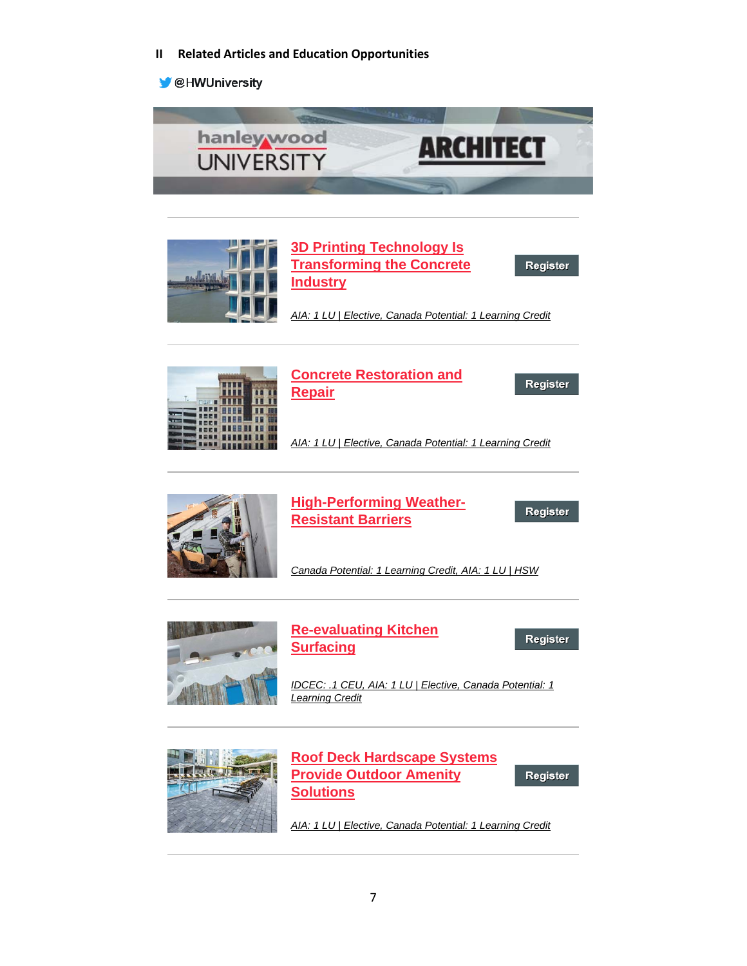**II Related Articles and Education Opportunities**

**OHWUniversity** 









### **[Concrete Restoration and](https://linkprotect.cudasvc.com/url?a=http%3a%2f%2fclick1.e.hanleywood-media.com%2fambvtdrlmkpnspydnyzpdnrpprnpksyvcmhmgctdhmtbm_eqsbspdfrbztzqrsdd.html%3fa%3dbesnard%2540dzco.com%26b%3dHWU_EBMGHWUN721155_Update_Newsletter_112619%2b%2b%2b%2b%2b%2b&c=E,1,-5rjGym68z-3z8FEEoWLcIKgiw9UUclCbwA6qBRdX4vAdMQMQqxg4V3q0GnRyYxvSuGDGqz3O70YX6nsEDKsBeXhfruSSARhZ_ZhgqQb4oc,&typo=1)  [Repair](https://linkprotect.cudasvc.com/url?a=http%3a%2f%2fclick1.e.hanleywood-media.com%2fambvtdrlmkpnspydnyzpdnrpprnpksyvcmhmgctdhmtbm_eqsbspdfrbztzqrsdd.html%3fa%3dbesnard%2540dzco.com%26b%3dHWU_EBMGHWUN721155_Update_Newsletter_112619%2b%2b%2b%2b%2b%2b&c=E,1,-5rjGym68z-3z8FEEoWLcIKgiw9UUclCbwA6qBRdX4vAdMQMQqxg4V3q0GnRyYxvSuGDGqz3O70YX6nsEDKsBeXhfruSSARhZ_ZhgqQb4oc,&typo=1)**

Register

*[AIA: 1 LU | Elective, Canada Potential: 1 Learning Credit](https://linkprotect.cudasvc.com/url?a=http%3a%2f%2fclick1.e.hanleywood-media.com%2fbdbscfvzplqybqjfyjkqfyvqqvyqlbjsnpgpmncfgpcdf_eqsbspdfrbztzqrsdd.html%3fa%3dbesnard%2540dzco.com%26b%3dHWU_EBMGHWUN721155_Update_Newsletter_112619%2b%2b%2b%2b%2b%2b&c=E,1,bA970BF-abMycKDmuQTGF49yu5tUtcVJ_KvdrcwqYSkvS0U2c3pJv98jYsPlsxQ6X5gKD91_U6--IsnDOYN32_uRqPkVsXtzivYpkbK4BQTUu03rXFvR&typo=1)*



**[High-Performing Weather-](https://linkprotect.cudasvc.com/url?a=http%3a%2f%2fclick1.e.hanleywood-media.com%2ffqncghtydsnwrnbhwbznhwtnntwnsrbcpdjdlpghjdgqj_eqsbspdfrbztzqrsdd.html%3fa%3dbesnard%2540dzco.com%26b%3dHWU_EBMGHWUN721155_Update_Newsletter_112619%2b%2b%2b%2b%2b%2b&c=E,1,JhUf3ZjaMEEzahZcfKS4USdiMEAJZuzCjKOLALQRykRRo7Ia8IljY7nwOWPGMUSfNciYgzBrywOc5ALZ8Vy5RKQdrQ0L5CoGkOv3QPAIXagi5atZbVBvpTDuxkU,&typo=1)[Resistant Barriers](https://linkprotect.cudasvc.com/url?a=http%3a%2f%2fclick1.e.hanleywood-media.com%2ffqncghtydsnwrnbhwbznhwtnntwnsrbcpdjdlpghjdgqj_eqsbspdfrbztzqrsdd.html%3fa%3dbesnard%2540dzco.com%26b%3dHWU_EBMGHWUN721155_Update_Newsletter_112619%2b%2b%2b%2b%2b%2b&c=E,1,JhUf3ZjaMEEzahZcfKS4USdiMEAJZuzCjKOLALQRykRRo7Ia8IljY7nwOWPGMUSfNciYgzBrywOc5ALZ8Vy5RKQdrQ0L5CoGkOv3QPAIXagi5atZbVBvpTDuxkU,&typo=1)**

Register

*[Canada Potential: 1 Learning Credit, AIA: 1 LU | HSW](https://linkprotect.cudasvc.com/url?a=http%3a%2f%2fclick1.e.hanleywood-media.com%2ftwbdmhsplzckjcbhkbfchksccskczjbdtlvlrtmhvlmwm_eqsbspdfrbztzqrsdd.html%3fa%3dbesnard%2540dzco.com%26b%3dHWU_EBMGHWUN721155_Update_Newsletter_112619%2b%2b%2b%2b%2b%2b&c=E,1,GJcN1AgyONkGEfU1a0dUuvw2kKtF6jYvX8CQJ8UKXnOFKOZPRCDnFCcKWnms7aZKR1QB-l-l2_N1tFEXn8t3CF97WB963zfeKl3ofvJ6nSqP&typo=1)*



*[AIA: 1 LU | Elective, Canada Potential: 1 Learning Credit](https://linkprotect.cudasvc.com/url?a=http%3a%2f%2fclick1.e.hanleywood-media.com%2ftmvdmhsplzckjcbhkbfchksccskczjbdtlvlrtmhvlmlv_eqsbspdfrbztzqrsdd.html%3fa%3dbesnard%2540dzco.com%26b%3dHWU_EBMGHWUN721155_Update_Newsletter_112619%2b%2b%2b%2b%2b%2b&c=E,1,w8tzRs3XmFWYs4WoyHqaNtrohPFX0HUu4ineNad3KUhol3ihsNbvFUwKyvSpCyv0g-xZ5OiL7z55nlPNfAIA_QuNzFGjEdniI5IZIweI2g,,&typo=1)*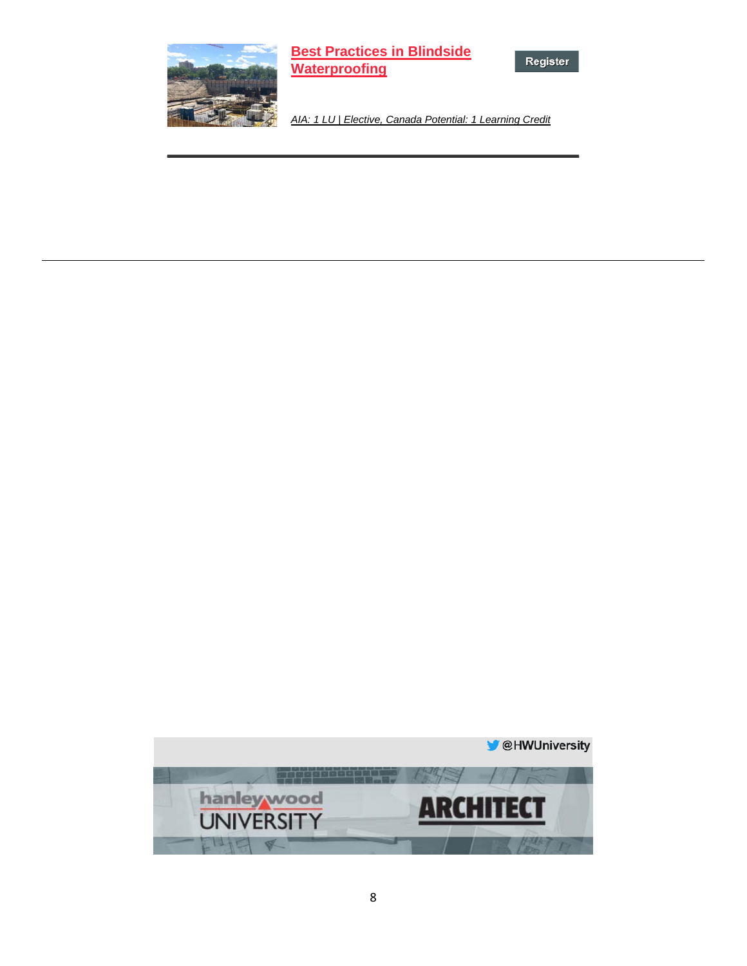

**[Best Practices in Blindside](https://linkprotect.cudasvc.com/url?a=http%3a%2f%2fclick1.e.hanleywood-media.com%2fwnvtnvkjdlsbzswvbwqsvbksskbslzwthdgdmhnvgdndn_eqsbspdfrbztzqrsdd.html%3fa%3dbesnard%2540dzco.com%26b%3dHWU_EBMGHWUN721155_Update_Newsletter_112619%2b%2b%2b%2b%2b%2b&c=E,1,HxaZeKEf-brHj7p8MICpO-0QuyBiK1QWt9yUKej1BIuLeL_GFlmvZ6miupxIjwB7tNarf6RQBPsBgKDUCOkZWJWds0Qu103mA8ewCVSHro0i&typo=1)  [Waterproofing](https://linkprotect.cudasvc.com/url?a=http%3a%2f%2fclick1.e.hanleywood-media.com%2fwnvtnvkjdlsbzswvbwqsvbksskbslzwthdgdmhnvgdndn_eqsbspdfrbztzqrsdd.html%3fa%3dbesnard%2540dzco.com%26b%3dHWU_EBMGHWUN721155_Update_Newsletter_112619%2b%2b%2b%2b%2b%2b&c=E,1,HxaZeKEf-brHj7p8MICpO-0QuyBiK1QWt9yUKej1BIuLeL_GFlmvZ6miupxIjwB7tNarf6RQBPsBgKDUCOkZWJWds0Qu103mA8ewCVSHro0i&typo=1)**

Register

*[AIA: 1 LU | Elective, Canada Potential: 1 Learning Credit](https://linkprotect.cudasvc.com/url?a=http%3a%2f%2fclick1.e.hanleywood-media.com%2flwmfwgshmknrqndgrdpngrsnnsrnkqdflmjmclwgjmwmh_eqsbspdfrbztzqrsdd.html%3fa%3dbesnard%2540dzco.com%26b%3dHWU_EBMGHWUN721155_Update_Newsletter_112619%2b%2b%2b%2b%2b%2b&c=E,1,QxPqXzJ-CUNGUj9ElkVoYjaFquRK9uq0JnhVj8cHUXXDH68ihgTx2-eGPKlS7cn0H9VdRUZ37QjXmmFBuBno5YlSZla7q1TCuI8pAM7JKDs7Zxv91qJcj61fHg,,&typo=1)*

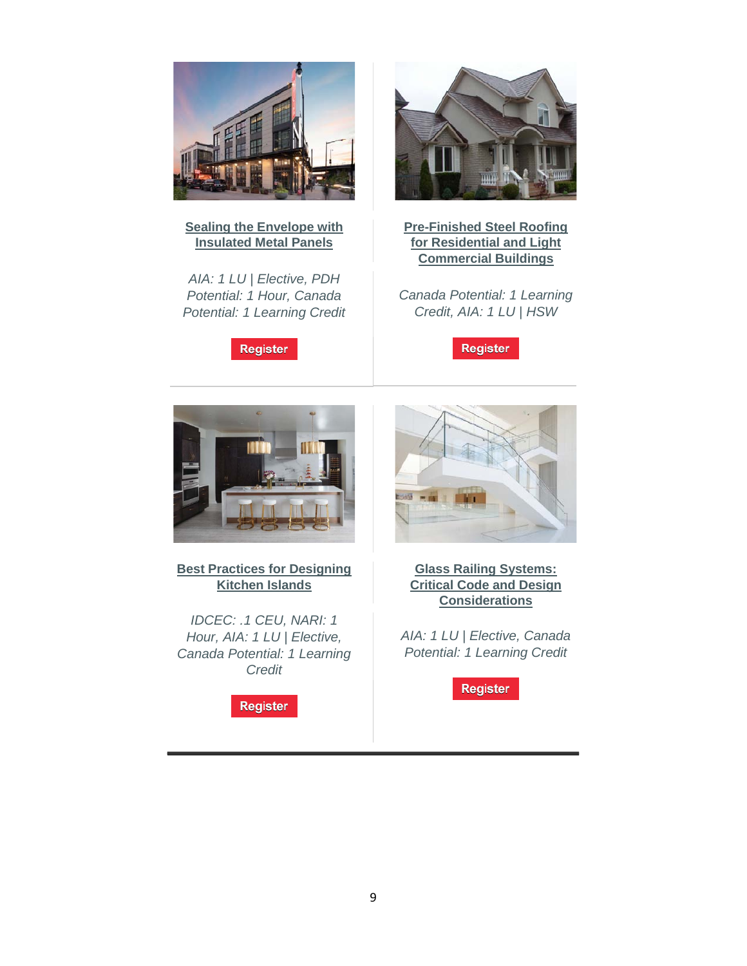

#### **[Sealing the Envelope with](https://linkprotect.cudasvc.com/url?a=http%3a%2f%2fclick1.e.hanleywood-media.com%2fhcwlhbjfvqwzmwsbzsrwbzjwwjzwqmsldvcvpdhbbfnbb_pvdmqdfbhmcyjmvdff.html%3fa%3dbesnard%2540dzco.com%26b%3dHWU_EBMGHWUN721155_Update_Newsletter_112119%2b%2b%2b%2b%2b%2b&c=E,1,engc3TCHefT6Iy3yWcBUDQnE-Oyza4XXvmQShpMOZ1_WAl-Dz6iQ7nXgCSCmIBxOq7Ev0vXcl6ckmkcejw75xoOGtolmSvaw0ktG81w9EXzhoXtw1aT65B_s&typo=1)  [Insulated Metal Panels](https://linkprotect.cudasvc.com/url?a=http%3a%2f%2fclick1.e.hanleywood-media.com%2fhcwlhbjfvqwzmwsbzsrwbzjwwjzwqmsldvcvpdhbbfnbb_pvdmqdfbhmcyjmvdff.html%3fa%3dbesnard%2540dzco.com%26b%3dHWU_EBMGHWUN721155_Update_Newsletter_112119%2b%2b%2b%2b%2b%2b&c=E,1,engc3TCHefT6Iy3yWcBUDQnE-Oyza4XXvmQShpMOZ1_WAl-Dz6iQ7nXgCSCmIBxOq7Ev0vXcl6ckmkcejw75xoOGtolmSvaw0ktG81w9EXzhoXtw1aT65B_s&typo=1)**

*AIA: 1 LU | Elective, PDH Potential: 1 Hour, Canada Potential: 1 Learning Credit*

**Register** 



**[Pre-Finished Steel Roofing](https://linkprotect.cudasvc.com/url?a=http%3a%2f%2fclick1.e.hanleywood-media.com%2ftvhdmhsplzckjcbhkbfchksccskczjbdtlvlrtmhhpwhc_pvdmqdfbhmcyjmvdff.html%3fa%3dbesnard%2540dzco.com%26b%3dHWU_EBMGHWUN721155_Update_Newsletter_112119%2b%2b%2b%2b%2b%2b&c=E,1,yvyvAjgF9UOc7_89y4fv4L5fI0qEN-4PXA_aKtJOdXLr7_58f18gTE_jzUaON-QjcN7BHtdxEEa2gP5q_p5Y4wcRosPtmDkgqo4CfOmJIlzEfdgkTxsNujJhunW4&typo=1)  [for Residential and Light](https://linkprotect.cudasvc.com/url?a=http%3a%2f%2fclick1.e.hanleywood-media.com%2ftvhdmhsplzckjcbhkbfchksccskczjbdtlvlrtmhhpwhc_pvdmqdfbhmcyjmvdff.html%3fa%3dbesnard%2540dzco.com%26b%3dHWU_EBMGHWUN721155_Update_Newsletter_112119%2b%2b%2b%2b%2b%2b&c=E,1,yvyvAjgF9UOc7_89y4fv4L5fI0qEN-4PXA_aKtJOdXLr7_58f18gTE_jzUaON-QjcN7BHtdxEEa2gP5q_p5Y4wcRosPtmDkgqo4CfOmJIlzEfdgkTxsNujJhunW4&typo=1)  [Commercial Buildings](https://linkprotect.cudasvc.com/url?a=http%3a%2f%2fclick1.e.hanleywood-media.com%2ftvhdmhsplzckjcbhkbfchksccskczjbdtlvlrtmhhpwhc_pvdmqdfbhmcyjmvdff.html%3fa%3dbesnard%2540dzco.com%26b%3dHWU_EBMGHWUN721155_Update_Newsletter_112119%2b%2b%2b%2b%2b%2b&c=E,1,yvyvAjgF9UOc7_89y4fv4L5fI0qEN-4PXA_aKtJOdXLr7_58f18gTE_jzUaON-QjcN7BHtdxEEa2gP5q_p5Y4wcRosPtmDkgqo4CfOmJIlzEfdgkTxsNujJhunW4&typo=1)**

*Canada Potential: 1 Learning Credit, AIA: 1 LU | HSW*

Register



**[Best Practices for Designing](https://linkprotect.cudasvc.com/url?a=http%3a%2f%2fclick1.e.hanleywood-media.com%2ftvwdmhsplzckjcbhkbfchksccskczjbdtlvlrtmhhpwhp_pvdmqdfbhmcyjmvdff.html%3fa%3dbesnard%2540dzco.com%26b%3dHWU_EBMGHWUN721155_Update_Newsletter_112119%2b%2b%2b%2b%2b%2b&c=E,1,yDIybUzAeeSBJRfLyDhfvHsORhFX_5MNIlL9hUEtNATJXsx1NexaYPLEXhXOSk_NT6dodjSeS9O0xiCWjWdaVW30PKpuq0OB25DJsZTktlyqdyTLyvYXINYPnw,,&typo=1)  [Kitchen Islands](https://linkprotect.cudasvc.com/url?a=http%3a%2f%2fclick1.e.hanleywood-media.com%2ftvwdmhsplzckjcbhkbfchksccskczjbdtlvlrtmhhpwhp_pvdmqdfbhmcyjmvdff.html%3fa%3dbesnard%2540dzco.com%26b%3dHWU_EBMGHWUN721155_Update_Newsletter_112119%2b%2b%2b%2b%2b%2b&c=E,1,yDIybUzAeeSBJRfLyDhfvHsORhFX_5MNIlL9hUEtNATJXsx1NexaYPLEXhXOSk_NT6dodjSeS9O0xiCWjWdaVW30PKpuq0OB25DJsZTktlyqdyTLyvYXINYPnw,,&typo=1)**

*IDCEC: .1 CEU, NARI: 1 Hour, AIA: 1 LU | Elective, Canada Potential: 1 Learning Credit*

**Register** 



**[Glass Railing Systems:](https://linkprotect.cudasvc.com/url?a=http%3a%2f%2fclick1.e.hanleywood-media.com%2feshvzyjqrshfphtyftlhyfjhhjfhsptvcrbrwczyyqdts_pvdmqdfbhmcyjmvdff.html%3fa%3dbesnard%2540dzco.com%26b%3dHWU_EBMGHWUN721155_Update_Newsletter_112119%2b%2b%2b%2b%2b%2b&c=E,1,fcejc892jafJZXTgd4ZD9qrDIgd3EmIOcjywzi7i8SBllDMJn40X_2Kb63Bgh_-IgGtKfZPFRYNu29uuGPqa26PorxIJRrIk-0UNsVC5Hg,,&typo=1)  [Critical Code and Design](https://linkprotect.cudasvc.com/url?a=http%3a%2f%2fclick1.e.hanleywood-media.com%2feshvzyjqrshfphtyftlhyfjhhjfhsptvcrbrwczyyqdts_pvdmqdfbhmcyjmvdff.html%3fa%3dbesnard%2540dzco.com%26b%3dHWU_EBMGHWUN721155_Update_Newsletter_112119%2b%2b%2b%2b%2b%2b&c=E,1,fcejc892jafJZXTgd4ZD9qrDIgd3EmIOcjywzi7i8SBllDMJn40X_2Kb63Bgh_-IgGtKfZPFRYNu29uuGPqa26PorxIJRrIk-0UNsVC5Hg,,&typo=1)  [Considerations](https://linkprotect.cudasvc.com/url?a=http%3a%2f%2fclick1.e.hanleywood-media.com%2feshvzyjqrshfphtyftlhyfjhhjfhsptvcrbrwczyyqdts_pvdmqdfbhmcyjmvdff.html%3fa%3dbesnard%2540dzco.com%26b%3dHWU_EBMGHWUN721155_Update_Newsletter_112119%2b%2b%2b%2b%2b%2b&c=E,1,fcejc892jafJZXTgd4ZD9qrDIgd3EmIOcjywzi7i8SBllDMJn40X_2Kb63Bgh_-IgGtKfZPFRYNu29uuGPqa26PorxIJRrIk-0UNsVC5Hg,,&typo=1)**

*AIA: 1 LU | Elective, Canada Potential: 1 Learning Credit*

**Register**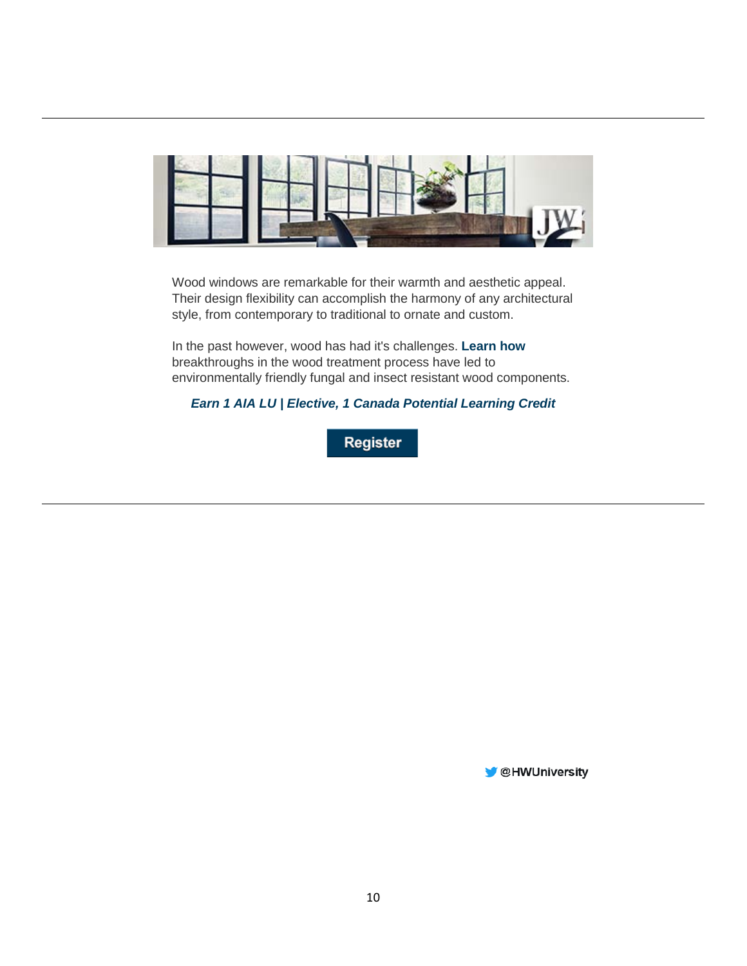

Wood windows are remarkable for their warmth and aesthetic appeal. Their design flexibility can accomplish the harmony of any architectural style, from contemporary to traditional to ornate and custom.

In the past however, wood has had it's challenges. **[Learn how](https://linkprotect.cudasvc.com/url?a=http%3a%2f%2fclick1.communication.hanleywood.com%2ftpjdmhsplzckjcbhkbfchksccskczjbdtlvlrtmhhcwbh_kfhvhftjlvdrhsvstt.html%3fa%3dbesnard%2540dzco.com&c=E,1,7rEQbbKiEOLO8-gLusV33MiIGTgf5fZLx238KXw8hnMI5UhBCewzg2rcGvMrz1hmOMxDq-bpCqoa_HQMDwoZglfP_oPSl-rH3POIbHWsuIKj9UF9ag,,&typo=1)** breakthroughs in the wood treatment process have led to environmentally friendly fungal and insect resistant wood components.

### *[Earn 1 AIA LU | Elective, 1 Canada Potential Learning Credit](https://linkprotect.cudasvc.com/url?a=http%3a%2f%2fclick1.communication.hanleywood.com%2fwjntnvkjdlsbzswvbwqsvbksskbslzwthdgdmhnvvsfww_kfhvhftjlvdrhsvstt.html%3fa%3dbesnard%2540dzco.com&c=E,1,e50nExx4T2Mnqygh9dmBNeArfaoaWLgeQy3x3HmTLFkdR8K2ipeutKSdhiT3kB9awfjEIGg1KW-KUmRoSXBprz8TQNwtANhaJYaYvziaP-8apJfRog,,&typo=1)*

Register

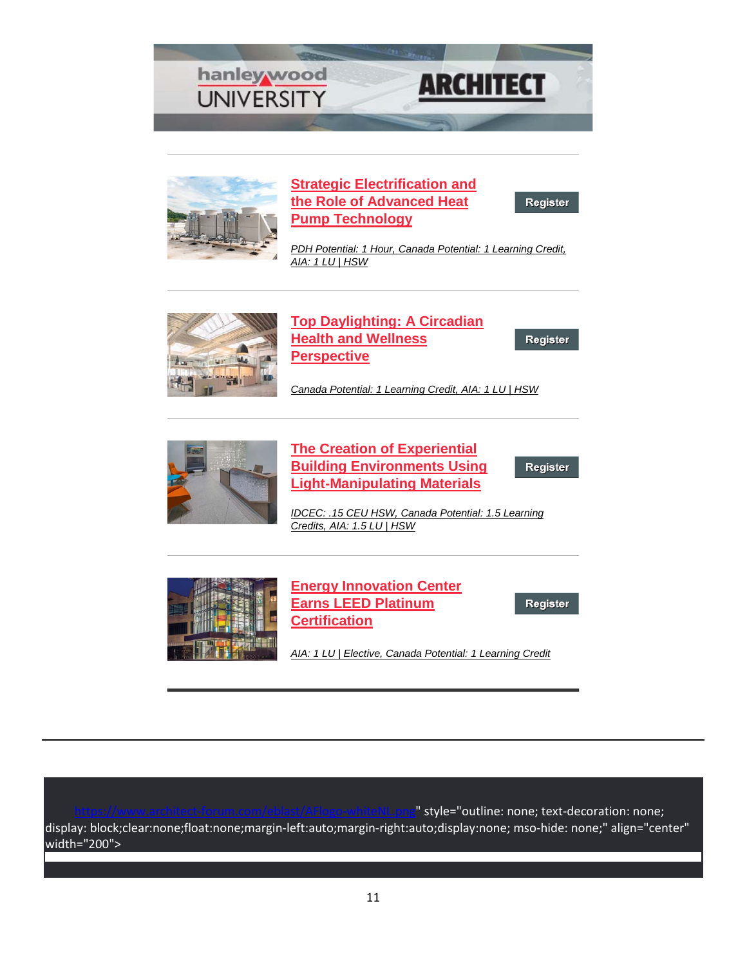



### **[Strategic Electrification and](https://linkprotect.cudasvc.com/url?a=http%3a%2f%2fclick1.e.hanleywood-media.com%2fcqjkjpvmtdlfqlgpfgrlpfvllvfldqgkstctzsjpppchl_rrggrwjpcgtkcwvtjj.html%3fa%3dbesnard%2540dzco.com%26b%3dHWU_EBMGHWUN721155_Update_Newsletter_111919%2b%2b%2b%2b%2b%2b&c=E,1,rqZK46EEBrt1sDH5TQ24i_j8Qe7bB0x6mCdkThtgohdiNCEpOqG5lVo8HJN2I51AIhcZjnPe0jgXDvjo4dQblfmeBMjK-O8ualRUg_0UQBo,&typo=1)  [the Role of Advanced Heat](https://linkprotect.cudasvc.com/url?a=http%3a%2f%2fclick1.e.hanleywood-media.com%2fcqjkjpvmtdlfqlgpfgrlpfvllvfldqgkstctzsjpppchl_rrggrwjpcgtkcwvtjj.html%3fa%3dbesnard%2540dzco.com%26b%3dHWU_EBMGHWUN721155_Update_Newsletter_111919%2b%2b%2b%2b%2b%2b&c=E,1,rqZK46EEBrt1sDH5TQ24i_j8Qe7bB0x6mCdkThtgohdiNCEpOqG5lVo8HJN2I51AIhcZjnPe0jgXDvjo4dQblfmeBMjK-O8ualRUg_0UQBo,&typo=1)  [Pump Technology](https://linkprotect.cudasvc.com/url?a=http%3a%2f%2fclick1.e.hanleywood-media.com%2fcqjkjpvmtdlfqlgpfgrlpfvllvfldqgkstctzsjpppchl_rrggrwjpcgtkcwvtjj.html%3fa%3dbesnard%2540dzco.com%26b%3dHWU_EBMGHWUN721155_Update_Newsletter_111919%2b%2b%2b%2b%2b%2b&c=E,1,rqZK46EEBrt1sDH5TQ24i_j8Qe7bB0x6mCdkThtgohdiNCEpOqG5lVo8HJN2I51AIhcZjnPe0jgXDvjo4dQblfmeBMjK-O8ualRUg_0UQBo,&typo=1)**

Register

*[PDH Potential: 1 Hour, Canada Potential: 1 Learning Credit,](https://linkprotect.cudasvc.com/url?a=http%3a%2f%2fclick1.e.hanleywood-media.com%2fdscldhzjtpmfsmrhfrkmhfzmmzfmpsrlbtctwbdhhhcgs_rrggrwjpcgtkcwvtjj.html%3fa%3dbesnard%2540dzco.com%26b%3dHWU_EBMGHWUN721155_Update_Newsletter_111919%2b%2b%2b%2b%2b%2b&c=E,1,KjZhnuB1rvx08X06ENc9cumYUZvE4l4zplujzh1LhXymHFfEFdwMuwcw3135ImTgVgJqX8lgiaO_tui_dJZztfxXO6lXdzjxlTh1CdqD2COm166ShLeJTQc,&typo=1)  [AIA: 1 LU | HSW](https://linkprotect.cudasvc.com/url?a=http%3a%2f%2fclick1.e.hanleywood-media.com%2fdscldhzjtpmfsmrhfrkmhfzmmzfmpsrlbtctwbdhhhcgs_rrggrwjpcgtkcwvtjj.html%3fa%3dbesnard%2540dzco.com%26b%3dHWU_EBMGHWUN721155_Update_Newsletter_111919%2b%2b%2b%2b%2b%2b&c=E,1,KjZhnuB1rvx08X06ENc9cumYUZvE4l4zplujzh1LhXymHFfEFdwMuwcw3135ImTgVgJqX8lgiaO_tui_dJZztfxXO6lXdzjxlTh1CdqD2COm166ShLeJTQc,&typo=1)*



**[Top Daylighting: A Circadian](https://linkprotect.cudasvc.com/url?a=http%3a%2f%2fclick1.e.hanleywood-media.com%2fwsltnvkjdlsbzswvbwqsvbksskbslzwthdgdmhnvvvgdf_rrggrwjpcgtkcwvtjj.html%3fa%3dbesnard%2540dzco.com%26b%3dHWU_EBMGHWUN721155_Update_Newsletter_111919%2b%2b%2b%2b%2b%2b&c=E,1,W3j1t5atHszINKBNrDegVqFe_nAiaFS52IbLOgH3tmooH_1pQcswfwejLey5-xD7jU66DkuoqFcSBeZNB-6HV-IbFmBpA3Bfq2tzC8eVKN4,&typo=1)  [Health and Wellness](https://linkprotect.cudasvc.com/url?a=http%3a%2f%2fclick1.e.hanleywood-media.com%2fwsltnvkjdlsbzswvbwqsvbksskbslzwthdgdmhnvvvgdf_rrggrwjpcgtkcwvtjj.html%3fa%3dbesnard%2540dzco.com%26b%3dHWU_EBMGHWUN721155_Update_Newsletter_111919%2b%2b%2b%2b%2b%2b&c=E,1,W3j1t5atHszINKBNrDegVqFe_nAiaFS52IbLOgH3tmooH_1pQcswfwejLey5-xD7jU66DkuoqFcSBeZNB-6HV-IbFmBpA3Bfq2tzC8eVKN4,&typo=1)  [Perspective](https://linkprotect.cudasvc.com/url?a=http%3a%2f%2fclick1.e.hanleywood-media.com%2fwsltnvkjdlsbzswvbwqsvbksskbslzwthdgdmhnvvvgdf_rrggrwjpcgtkcwvtjj.html%3fa%3dbesnard%2540dzco.com%26b%3dHWU_EBMGHWUN721155_Update_Newsletter_111919%2b%2b%2b%2b%2b%2b&c=E,1,W3j1t5atHszINKBNrDegVqFe_nAiaFS52IbLOgH3tmooH_1pQcswfwejLey5-xD7jU66DkuoqFcSBeZNB-6HV-IbFmBpA3Bfq2tzC8eVKN4,&typo=1)**

Register

*[Canada Potential: 1 Learning Credit, AIA: 1 LU | HSW](https://linkprotect.cudasvc.com/url?a=http%3a%2f%2fclick1.e.hanleywood-media.com%2fidgtnvpcyhdwzdbvwbkdvwpddpwdhzbtrymyqrnvvvmyh_rrggrwjpcgtkcwvtjj.html%3fa%3dbesnard%2540dzco.com%26b%3dHWU_EBMGHWUN721155_Update_Newsletter_111919%2b%2b%2b%2b%2b%2b&c=E,1,gziqEVgkuWcKrhhw1wL41OB9N4IOUrb7wKSGAfdl6DLWc2xjUm-AaZtCd_CRDhtCB68pTf2w7HscoEXOVYTOeJpcajfnaHwMFrH6rpf_f1J5wgU-TRY9anyTTg,,&typo=1)*



**[The Creation of Experiential](https://linkprotect.cudasvc.com/url?a=http%3a%2f%2fclick1.e.hanleywood-media.com%2fwgztnvkjdlsbzswvbwqsvbksskbslzwthdgdmhnvvvgdw_rrggrwjpcgtkcwvtjj.html%3fa%3dbesnard%2540dzco.com%26b%3dHWU_EBMGHWUN721155_Update_Newsletter_111919%2b%2b%2b%2b%2b%2b&c=E,1,4V2r123y6F00EKO8zleQj95ioanDoYL4yPGbrkEXxXDBUa4GqbxvHM5vBmmEJCy5pVWsZeP2nKCEKaAe7TlLwyhk_p_V3QlpG5Upr_Rm&typo=1)  [Building Environments Using](https://linkprotect.cudasvc.com/url?a=http%3a%2f%2fclick1.e.hanleywood-media.com%2fwgztnvkjdlsbzswvbwqsvbksskbslzwthdgdmhnvvvgdw_rrggrwjpcgtkcwvtjj.html%3fa%3dbesnard%2540dzco.com%26b%3dHWU_EBMGHWUN721155_Update_Newsletter_111919%2b%2b%2b%2b%2b%2b&c=E,1,4V2r123y6F00EKO8zleQj95ioanDoYL4yPGbrkEXxXDBUa4GqbxvHM5vBmmEJCy5pVWsZeP2nKCEKaAe7TlLwyhk_p_V3QlpG5Upr_Rm&typo=1)  [Light-Manipulating Materials](https://linkprotect.cudasvc.com/url?a=http%3a%2f%2fclick1.e.hanleywood-media.com%2fwgztnvkjdlsbzswvbwqsvbksskbslzwthdgdmhnvvvgdw_rrggrwjpcgtkcwvtjj.html%3fa%3dbesnard%2540dzco.com%26b%3dHWU_EBMGHWUN721155_Update_Newsletter_111919%2b%2b%2b%2b%2b%2b&c=E,1,4V2r123y6F00EKO8zleQj95ioanDoYL4yPGbrkEXxXDBUa4GqbxvHM5vBmmEJCy5pVWsZeP2nKCEKaAe7TlLwyhk_p_V3QlpG5Upr_Rm&typo=1)**

Register

*[IDCEC: .15 CEU HSW, Canada Potential: 1.5 Learning](https://linkprotect.cudasvc.com/url?a=http%3a%2f%2fclick1.e.hanleywood-media.com%2fjvmzqjcnbrmwfmtjwthmjwcmmcwmrftzpbvbkpqjjjvbm_rrggrwjpcgtkcwvtjj.html%3fa%3dbesnard%2540dzco.com%26b%3dHWU_EBMGHWUN721155_Update_Newsletter_111919%2b%2b%2b%2b%2b%2b&c=E,1,l7RohTOmQyYBm8bnygfC8UTGakPqA5B2ZN9auH4q88qTlNnTUlOq1GWbXoST6nGPZVIKYLSFg3FuImI44XP1EBtcGQ_Hq40lQfnytdqovdjIgKYKl_4,&typo=1)  [Credits, AIA: 1.5 LU | HSW](https://linkprotect.cudasvc.com/url?a=http%3a%2f%2fclick1.e.hanleywood-media.com%2fjvmzqjcnbrmwfmtjwthmjwcmmcwmrftzpbvbkpqjjjvbm_rrggrwjpcgtkcwvtjj.html%3fa%3dbesnard%2540dzco.com%26b%3dHWU_EBMGHWUN721155_Update_Newsletter_111919%2b%2b%2b%2b%2b%2b&c=E,1,l7RohTOmQyYBm8bnygfC8UTGakPqA5B2ZN9auH4q88qTlNnTUlOq1GWbXoST6nGPZVIKYLSFg3FuImI44XP1EBtcGQ_Hq40lQfnytdqovdjIgKYKl_4,&typo=1)*



**Energy Innovation Center [Earns LEED Platinum](https://linkprotect.cudasvc.com/url?a=http%3a%2f%2fclick1.e.hanleywood-media.com%2fsmczsvwpbrktlkcvtcfkvtwkkwtkrlczgbmbhgsvvvmbl_rrggrwjpcgtkcwvtjj.html%3fa%3dbesnard%2540dzco.com%26b%3dHWU_EBMGHWUN721155_Update_Newsletter_111919%2b%2b%2b%2b%2b%2b&c=E,1,TcPG8wkfqTTPMpaCzvg5JgLiYJBCAAUUg1pgtwKuCg6JIhFrnzOSuHDBHD-Lfsr15hFf5mSInaey-HWDjLUUbPQPwqc2j7wLZjL_A6Yis21ElKDZ74269Rs,&typo=1)  [Certification](https://linkprotect.cudasvc.com/url?a=http%3a%2f%2fclick1.e.hanleywood-media.com%2fsmczsvwpbrktlkcvtcfkvtwkkwtkrlczgbmbhgsvvvmbl_rrggrwjpcgtkcwvtjj.html%3fa%3dbesnard%2540dzco.com%26b%3dHWU_EBMGHWUN721155_Update_Newsletter_111919%2b%2b%2b%2b%2b%2b&c=E,1,TcPG8wkfqTTPMpaCzvg5JgLiYJBCAAUUg1pgtwKuCg6JIhFrnzOSuHDBHD-Lfsr15hFf5mSInaey-HWDjLUUbPQPwqc2j7wLZjL_A6Yis21ElKDZ74269Rs,&typo=1)**

Register

*[AIA: 1 LU | Elective, Canada Potential: 1 Learning Credit](https://linkprotect.cudasvc.com/url?a=http%3a%2f%2fclick1.e.hanleywood-media.com%2frnchtnylcrvpwvknpkfvnpyvvypvrwkhscgcbstnnngrj_rrggrwjpcgtkcwvtjj.html%3fa%3dbesnard%2540dzco.com%26b%3dHWU_EBMGHWUN721155_Update_Newsletter_111919%2b%2b%2b%2b%2b%2b&c=E,1,Oy-gb6kqfsLob8vTklZYhOpIGTiJzd47KD3B6jcJTABpKJkd3VlV8TBJSwcLZm1u-2vDSP-HGPWJ46rdQApQ_B45LFtooH8hvtUATvmSUF2j3LW6Fg0B14aF&typo=1)*

lumaty. Style="outline: none; text-decoration: none; display: block;clear:none;float:none;margin-left:auto;margin-right:auto;display:none; mso-hide: none;" align="center" width="200">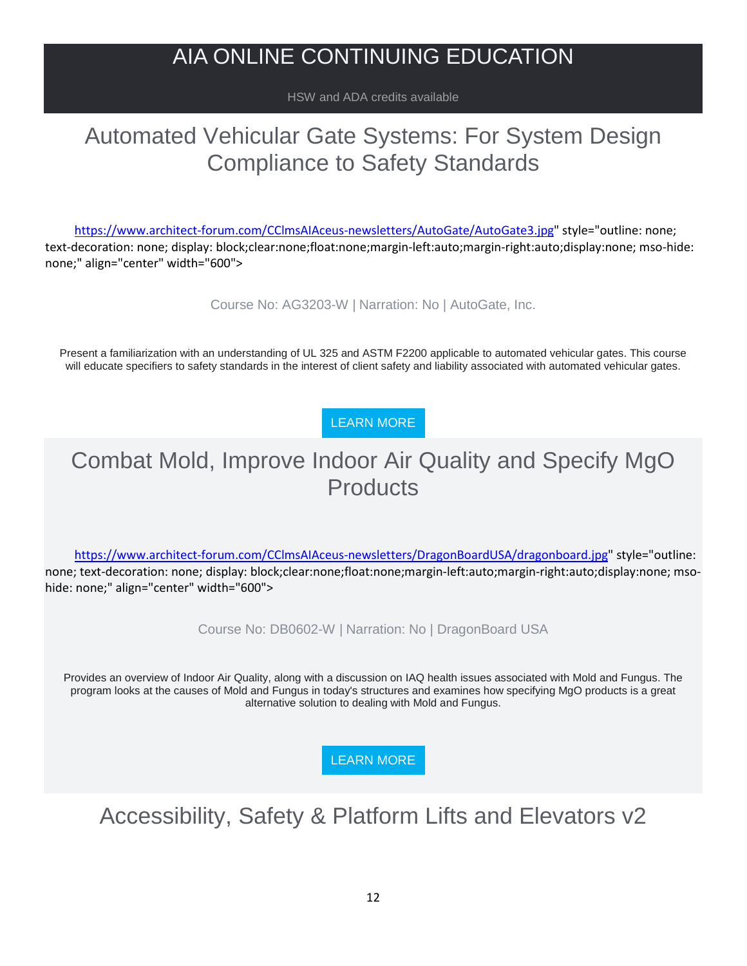## AIA ONLINE CONTINUING EDUCATION

HSW and ADA credits available

## Automated Vehicular Gate Systems: For System Design Compliance to Safety Standards

[https://www.architect-forum.com/CClmsAIAceus-newsletters/AutoGate/AutoGate3.jpg"](https://www.architect-forum.com/CClmsAIAceus-newsletters/AutoGate/AutoGate3.jpg) style="outline: none; text-decoration: none; display: block;clear:none;float:none;margin-left:auto;margin-right:auto;display:none; mso-hide: none;" align="center" width="600">

Course No: AG3203-W | Narration: No | AutoGate, Inc.

Present a familiarization with an understanding of UL 325 and ASTM F2200 applicable to automated vehicular gates. This course will educate specifiers to safety standards in the interest of client safety and liability associated with automated vehicular gates.

### [LEARN MORE](https://linkprotect.cudasvc.com/url?a=http%3a%2f%2fnewsletter.architect-forum.com%2ft.aspx%3fS%3d1%26ID%3d4735%26NL%3d2%26N%3d2181%26SI%3d2271%26URL%3dhttp%253a%252f%252flms.architect-forum.com%252fsubscribe.php%253fcourse_id%253d252&c=E,1,ljlANaZFEvKYrW9kyImP_9isVlh1EA7oF4T80b4SBxY7jLd9SHMbz71orsZTkDTsAhL9U2A9Hb8cddl2ZbDXCsx5hkkR4fVPVrNgiZPNmJDP&typo=1)

## Combat Mold, Improve Indoor Air Quality and Specify MgO **Products**

[https://www.architect-forum.com/CClmsAIAceus-newsletters/DragonBoardUSA/dragonboard.jpg"](https://www.architect-forum.com/CClmsAIAceus-newsletters/DragonBoardUSA/dragonboard.jpg) style="outline: none; text-decoration: none; display: block;clear:none;float:none;margin-left:auto;margin-right:auto;display:none; msohide: none;" align="center" width="600">

Course No: DB0602-W | Narration: No | DragonBoard USA

Provides an overview of Indoor Air Quality, along with a discussion on IAQ health issues associated with Mold and Fungus. The program looks at the causes of Mold and Fungus in today's structures and examines how specifying MgO products is a great alternative solution to dealing with Mold and Fungus.

[LEARN MORE](https://linkprotect.cudasvc.com/url?a=http%3a%2f%2fnewsletter.architect-forum.com%2ft.aspx%3fS%3d1%26ID%3d4735%26NL%3d2%26N%3d2181%26SI%3d2271%26URL%3dhttp%253a%252f%252flms.architect-forum.com%252fsubscribe.php%253fcourse_id%253d256&c=E,1,C8Ryne9hmt37ddTa88ci42sYhM3hyAqtycHY7NIgJPoR9i0weEGhw26r-nv4jxGNMtUZ15tlNE4X7u5dRmLA0sGrDGgUob21aXfqOHhi0ET5GO17xZMI&typo=1)

## Accessibility, Safety & Platform Lifts and Elevators v2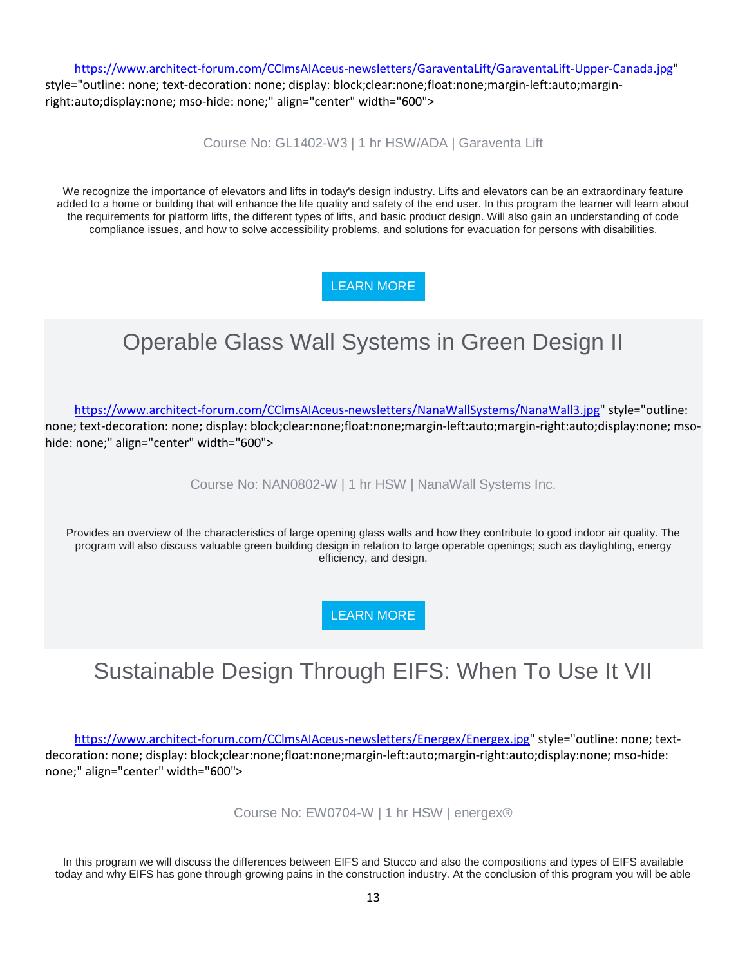[https://www.architect-forum.com/CClmsAIAceus-newsletters/GaraventaLift/GaraventaLift-Upper-Canada.jpg"](https://www.architect-forum.com/CClmsAIAceus-newsletters/GaraventaLift/GaraventaLift-Upper-Canada.jpg)

style="outline: none; text-decoration: none; display: block;clear:none;float:none;margin-left:auto;marginright:auto;display:none; mso-hide: none;" align="center" width="600">

Course No: GL1402-W3 | 1 hr HSW/ADA | Garaventa Lift

We recognize the importance of elevators and lifts in today's design industry. Lifts and elevators can be an extraordinary feature added to a home or building that will enhance the life quality and safety of the end user. In this program the learner will learn about the requirements for platform lifts, the different types of lifts, and basic product design. Will also gain an understanding of code compliance issues, and how to solve accessibility problems, and solutions for evacuation for persons with disabilities.

[LEARN MORE](https://linkprotect.cudasvc.com/url?a=http%3a%2f%2fnewsletter.architect-forum.com%2ft.aspx%3fS%3d1%26ID%3d4735%26NL%3d2%26N%3d2181%26SI%3d2271%26URL%3dhttp%253a%252f%252flms.architect-forum.com%252fsubscribe.php%253fcourse_id%253d272&c=E,1,n8VVImQoQfv4tgml7wReWhTIeMB0faZl6YKw7RJ6zbTPWADPpQudE8yD-mm-4bMMycQ9z_wryCDk3OYBiOroX-VjFPP4LuYjPosdU__QDmtoIA,,&typo=1)

# Operable Glass Wall Systems in Green Design II

[https://www.architect-forum.com/CClmsAIAceus-newsletters/NanaWallSystems/NanaWall3.jpg"](https://www.architect-forum.com/CClmsAIAceus-newsletters/NanaWallSystems/NanaWall3.jpg) style="outline: none; text-decoration: none; display: block;clear:none;float:none;margin-left:auto;margin-right:auto;display:none; msohide: none;" align="center" width="600">

Course No: NAN0802-W | 1 hr HSW | NanaWall Systems Inc.

Provides an overview of the characteristics of large opening glass walls and how they contribute to good indoor air quality. The program will also discuss valuable green building design in relation to large operable openings; such as daylighting, energy efficiency, and design.

[LEARN MORE](https://linkprotect.cudasvc.com/url?a=http%3a%2f%2fnewsletter.architect-forum.com%2ft.aspx%3fS%3d1%26ID%3d4735%26NL%3d2%26N%3d2181%26SI%3d2271%26URL%3dhttp%253a%252f%252flms.architect-forum.com%252fsubscribe.php%253fcourse_id%253d262&c=E,1,JY5-XnpmNiKwW7HRHUe84n4eo1TvWKhnrr0_oCyMG7IjwQiuP9xm5odGUfvzAxiffLhzbXDZnShLtHljEhuiZT85r94dJYH3Hvor_AWm2CK_lQ,,&typo=1)

# Sustainable Design Through EIFS: When To Use It VII

[https://www.architect-forum.com/CClmsAIAceus-newsletters/Energex/Energex.jpg"](https://www.architect-forum.com/CClmsAIAceus-newsletters/Energex/Energex.jpg) style="outline: none; textdecoration: none; display: block;clear:none;float:none;margin-left:auto;margin-right:auto;display:none; mso-hide: none;" align="center" width="600">

Course No: EW0704-W | 1 hr HSW | energex®

In this program we will discuss the differences between EIFS and Stucco and also the compositions and types of EIFS available today and why EIFS has gone through growing pains in the construction industry. At the conclusion of this program you will be able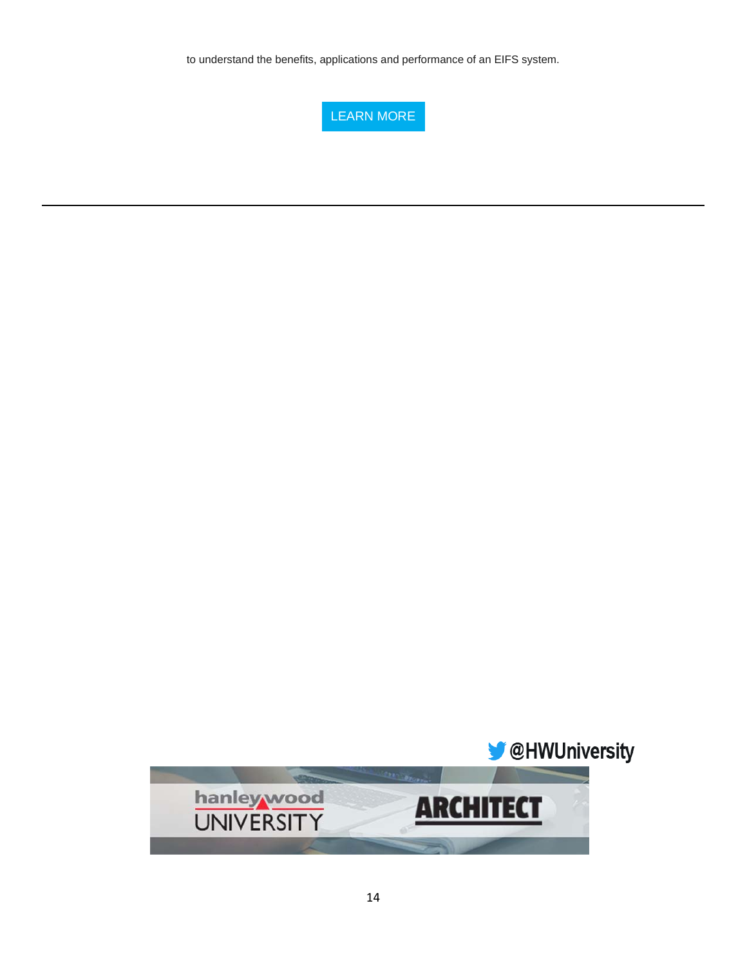to understand the benefits, applications and performance of an EIFS system.